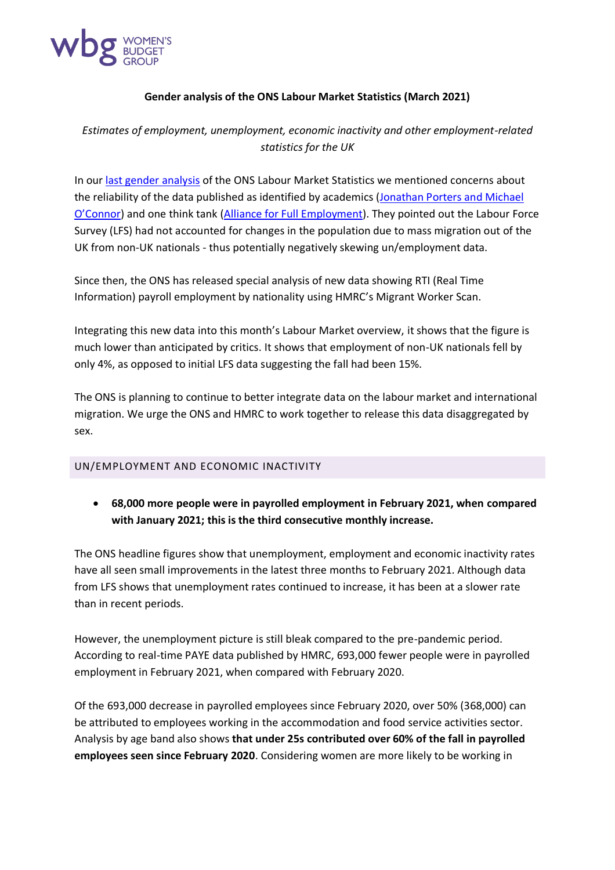

## **Gender analysis of the ONS Labour Market Statistics (March 2021)**

*Estimates of employment, unemployment, economic inactivity and other employment-related statistics for the UK*

In our [last gender analysis](https://wbg.org.uk/wp-content/uploads/2021/01/ONS-labour-market-data-release-Jan-21.pdf) of the ONS Labour Market Statistics we mentioned concerns about the reliability of the data published as identified by academics [\(Jonathan Porters and Michael](https://www.escoe.ac.uk/estimating-the-uk-population-during-the-pandemic/)  [O'Connor](https://www.escoe.ac.uk/estimating-the-uk-population-during-the-pandemic/)) and one think tank [\(Alliance for Full Employment\)](https://secureservercdn.net/160.153.137.40/ope.c3a.myftpupload.com/wp-content/uploads/2021/01/AFFE-The-Ongoing-Wave-FINAL.pdf). They pointed out the Labour Force Survey (LFS) had not accounted for changes in the population due to mass migration out of the UK from non-UK nationals - thus potentially negatively skewing un/employment data.

Since then, the ONS has released special analysis of new data showing RTI (Real Time Information) payroll employment by nationality using HMRC's Migrant Worker Scan.

Integrating this new data into this month's Labour Market overview, it shows that the figure is much lower than anticipated by critics. It shows that employment of non-UK nationals fell by only 4%, as opposed to initial LFS data suggesting the fall had been 15%.

The ONS is planning to continue to better integrate data on the labour market and international migration. We urge the ONS and HMRC to work together to release this data disaggregated by sex.

## UN/EMPLOYMENT AND ECONOMIC INACTIVITY

• **68,000 more people were in payrolled employment in February 2021, when compared with January 2021; this is the third consecutive monthly increase.**

The ONS headline figures show that unemployment, employment and economic inactivity rates have all seen small improvements in the latest three months to February 2021. Although data from LFS shows that unemployment rates continued to increase, it has been at a slower rate than in recent periods.

However, the unemployment picture is still bleak compared to the pre-pandemic period. According to real-time PAYE data published by HMRC, 693,000 fewer people were in payrolled employment in February 2021, when compared with February 2020.

Of the 693,000 decrease in payrolled employees since February 2020, over 50% (368,000) can be attributed to employees working in the accommodation and food service activities sector. Analysis by age band also shows **that under 25s contributed over 60% of the fall in payrolled employees seen since February 2020**. Considering women are more likely to be working in